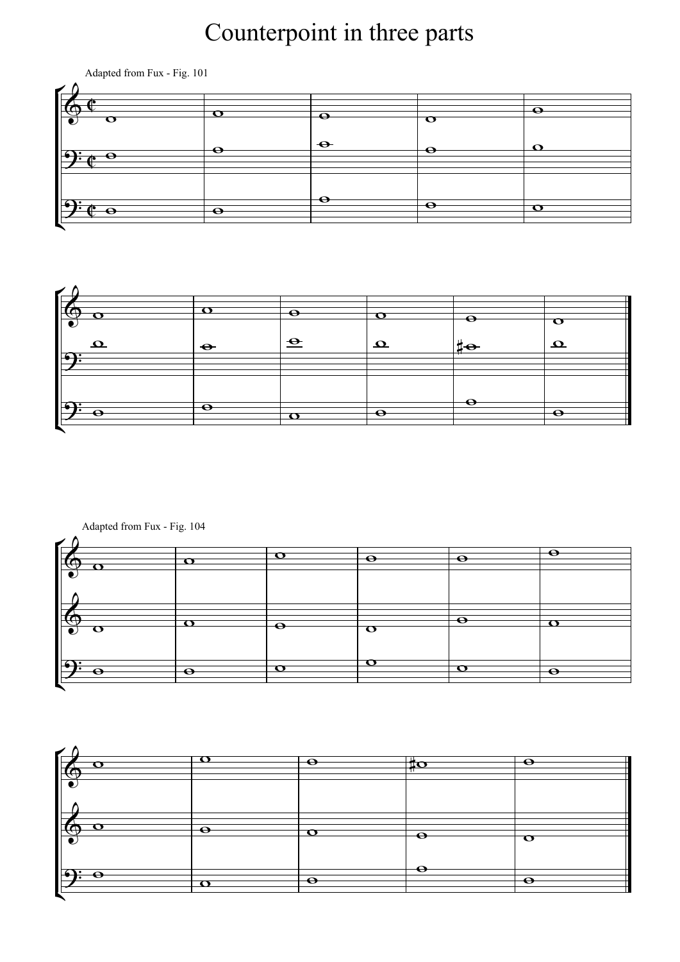## Counterpoint in three parts







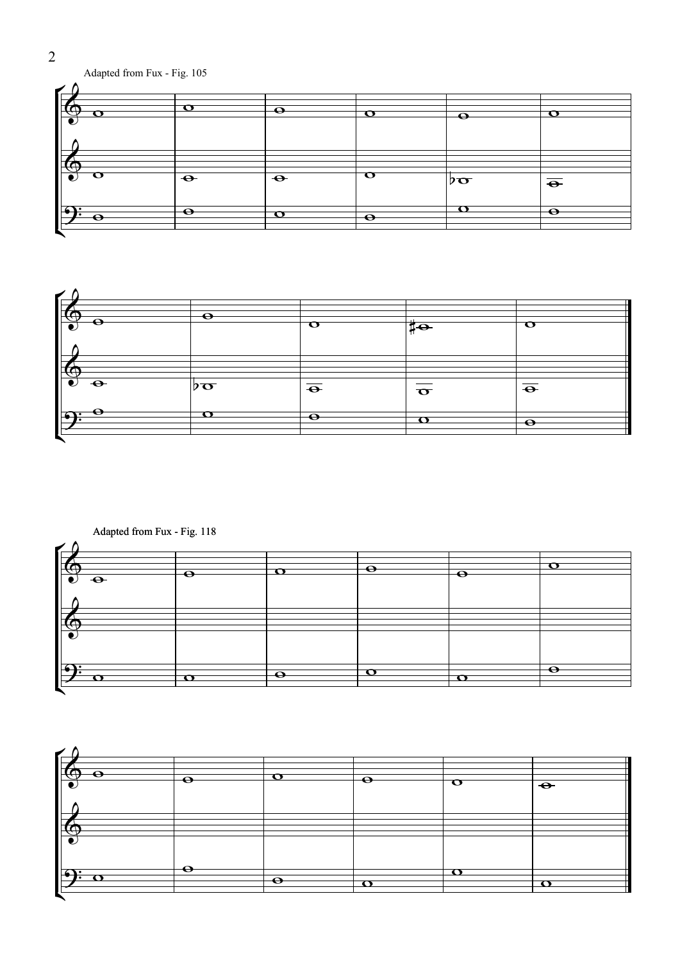## Adapted from Fux - Fig. 105